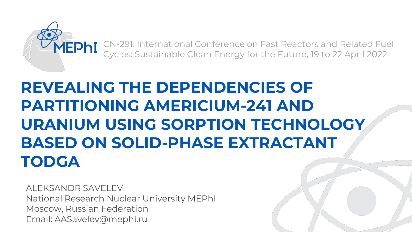

CN-291: International Conference on Fast Reactors and Related Fuel Cycles: Sustainable Clean Energy for the Future, 19 to 22 April 2022

## **REVEALING THE DEPENDENCIES OF PARTITIONING AMERICIUM-241 AND URANIUM USING SORPTION TECHNOLOGY BASED ON SOLID-PHASE EXTRACTANT TODGA**

ALEKSANDR SAVELEV National Research Nuclear University MEPhI Moscow, Russian Federation Email: AASavelev@mephi.ru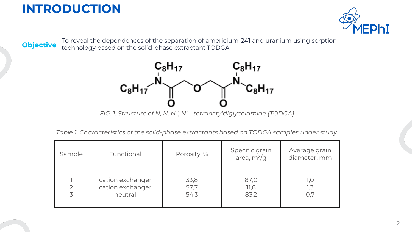



To reveal the dependences of the separation of americium-241 and uranium using sorption<br>**Objective** technology based on the solid-phase extractant TODGA technology based on the solid-phase extractant TODGA.



*FIG. 1. Structure of N, N, N ', N' – tetraoctyldiglycolamide (TODGA)*

*Table 1. Characteristics of the solid-phase extractants based on TODGA samples under study*

| Sample              | Functional                                      | Porosity, %          | Specific grain<br>area, $m^2/g$ | Average grain<br>diameter, mm |
|---------------------|-------------------------------------------------|----------------------|---------------------------------|-------------------------------|
| $\overline{2}$<br>3 | cation exchanger<br>cation exchanger<br>neutral | 33,8<br>57,7<br>54,3 | 87,0<br>11,8<br>83,2            | 1,0<br>ک, ا<br>O,7            |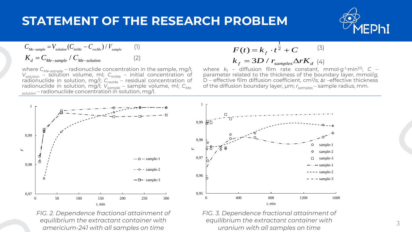## **STATEMENT OF THE RESEARCH PROBLEM**



$$
C_{Me-sample} = V_{solution} (C_{iniMe} - C_{resMe}) / V_{sample}
$$
 (1)  

$$
K_d = C_{Me-sample} / C_{Me-solution}
$$
 (2)

**STATEMENT OF THE RESEARCH PROBLEM**<br>  $C_{\text{M} = \text{w}_\text{adiab}} C_{\text{badic}} C_{\text{radic}} - C_{\text{radic}})/V_{\text{ampt}}$  (1)<br>  $K_d = C_{\text{M} = \text{w}_\text{adiab}} / C_{\text{M} = \text{cdiniab}}$  (1)<br>  $K_d = C_{\text{M} = \text{c}_\text{M} = \text{c}_\text{M} = \text{c}_\text{M} = \text{c}_\text{M} = \text{c}_\text{M} = \text{c}_\text{M}$ **STATEMENT OF THE RESEARCH PROBLEM**<br>  $C_{Me\_sample} = V_{sचsim}C_{msk} - C_{msk} + \frac{1}{V_{sample}}$  (1)<br>  $K_d = C_{Me\_sample} / C_{Me\_solution}$  (2)<br>  $K_d = C_{Me\_sample} / C_{Me\_solution}$  (2)<br>  $K_d = 3D / r_{sample} \Delta r K_d$  (4)<br>  $K_{\text{other C}_{\text{region}}} = \text{radionucleite concentration of parameter related to the thickness of the boundary layer, mmol/g: cmol/g; C = 1000000000000000000$ where *CMe-sample* – radionuclide concentration in the sample, mg/l; *Vsolution* – solution volume, ml; *CiniMe* – initial concentration of radionuclide in solution, mg/l; *CresMe* – residual concentration of radionuclide in solution, mg/l; *Vsample* – sample volume, ml; *CMesolution* – radionuclide concentration in solution, mg/l.

$$
F(t) = k_f \cdot t^{\frac{1}{2}} + C
$$
<sup>(3)</sup>  

$$
k_f = 3D / r_{samples} \Delta r K_d
$$
<sup>(4)</sup>

where  $k_f$  – diffusion film rate constant, mmol·g<sup>-1</sup>·min<sup>1/2</sup>; С – parameter related to the thickness of the boundary layer, mmol/g; D – effective film diffusion coefficient, cm<sup>2</sup> /s; Δr –effective thickness of the diffusion boundary layer, µm; *rsamples* – sample radius, mm.



*FIG. 2. Dependence fractional attainment of equilibrium the extractant container with americium-241 with all samples on time*



*FIG. 3. Dependence fractional attainment of equilibrium the extractant container with uranium with all samples on time*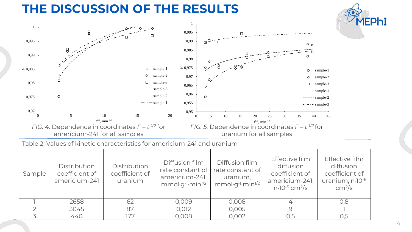## **THE DISCUSSION OF THE RESULTS**



Table 2. Values of kinetic characteristics for americium-241 and uranium

| Sample | <b>Distribution</b><br>coefficient of<br>americium-241 | Distribution<br>coefficient of<br>uranium | Diffusion film<br>rate constant of<br>americium-241,<br>$mmol·g-1·min1/2$ | Diffusion film<br>rate constant of<br>uranium,<br>$mmol·q-1·min1/2$ | Effective film<br>diffusion<br>coefficient of<br>americium-241,<br>$n \cdot 10^{-5}$ cm <sup>2</sup> /s | Effective film<br>diffusion<br>coefficient of<br>uranium, n.10-6<br>cm <sup>2</sup> /s |
|--------|--------------------------------------------------------|-------------------------------------------|---------------------------------------------------------------------------|---------------------------------------------------------------------|---------------------------------------------------------------------------------------------------------|----------------------------------------------------------------------------------------|
|        | 2658                                                   | 62                                        | 0,009                                                                     | 0,008                                                               |                                                                                                         | 0,8                                                                                    |
|        | 3045                                                   | 87                                        | 0,012                                                                     | 0,005                                                               |                                                                                                         |                                                                                        |
|        | 440                                                    | 177                                       | 0,008                                                                     | 0,002                                                               | 0,5                                                                                                     | 0,5                                                                                    |

**AEPhi**